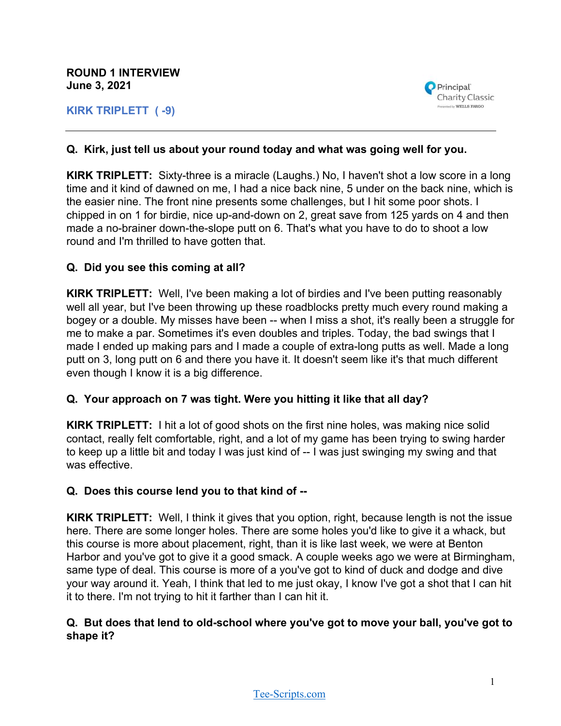**ROUND 1 INTERVIEW June 3, 2021**

**KIRK TRIPLETT ( -9)**



### **Q. Kirk, just tell us about your round today and what was going well for you.**

**KIRK TRIPLETT:** Sixty-three is a miracle (Laughs.) No, I haven't shot a low score in a long time and it kind of dawned on me, I had a nice back nine, 5 under on the back nine, which is the easier nine. The front nine presents some challenges, but I hit some poor shots. I chipped in on 1 for birdie, nice up-and-down on 2, great save from 125 yards on 4 and then made a no-brainer down-the-slope putt on 6. That's what you have to do to shoot a low round and I'm thrilled to have gotten that.

#### **Q. Did you see this coming at all?**

**KIRK TRIPLETT:** Well, I've been making a lot of birdies and I've been putting reasonably well all year, but I've been throwing up these roadblocks pretty much every round making a bogey or a double. My misses have been -- when I miss a shot, it's really been a struggle for me to make a par. Sometimes it's even doubles and triples. Today, the bad swings that I made I ended up making pars and I made a couple of extra-long putts as well. Made a long putt on 3, long putt on 6 and there you have it. It doesn't seem like it's that much different even though I know it is a big difference.

#### **Q. Your approach on 7 was tight. Were you hitting it like that all day?**

**KIRK TRIPLETT:** I hit a lot of good shots on the first nine holes, was making nice solid contact, really felt comfortable, right, and a lot of my game has been trying to swing harder to keep up a little bit and today I was just kind of -- I was just swinging my swing and that was effective.

#### **Q. Does this course lend you to that kind of --**

**KIRK TRIPLETT:** Well, I think it gives that you option, right, because length is not the issue here. There are some longer holes. There are some holes you'd like to give it a whack, but this course is more about placement, right, than it is like last week, we were at Benton Harbor and you've got to give it a good smack. A couple weeks ago we were at Birmingham, same type of deal. This course is more of a you've got to kind of duck and dodge and dive your way around it. Yeah, I think that led to me just okay, I know I've got a shot that I can hit it to there. I'm not trying to hit it farther than I can hit it.

#### **Q. But does that lend to old-school where you've got to move your ball, you've got to shape it?**